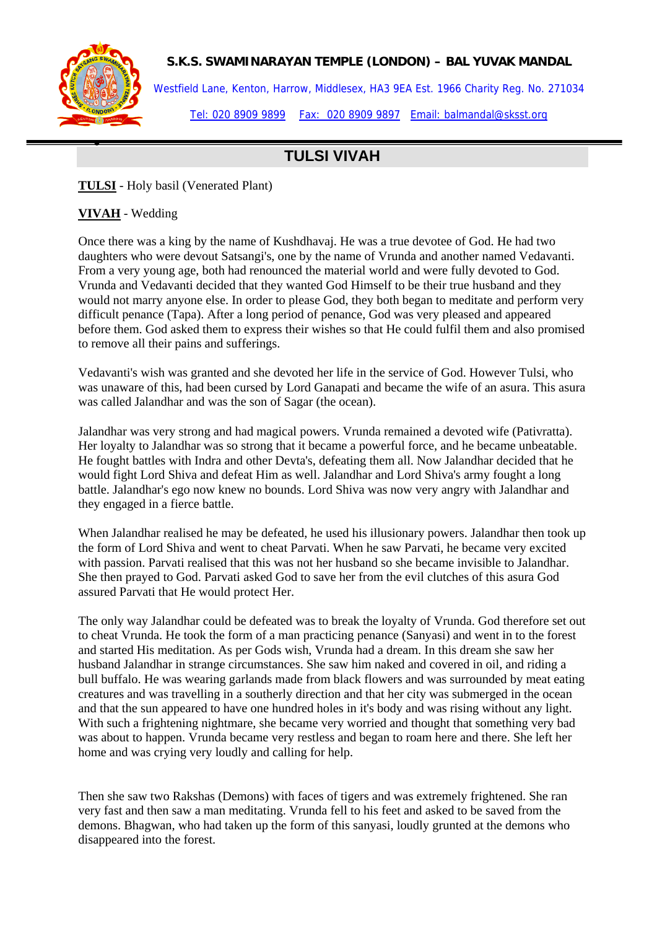

•

## **S.K.S. SWAMINARAYAN TEMPLE (LONDON) – BAL YUVAK MANDAL**

Westfield Lane, Kenton, Harrow, Middlesex, HA3 9EA Est. 1966 Charity Reg. No. 271034 Tel: 020 8909 9899 Fax: 020 8909 9897 Email: balmandal@sksst.org

## **TULSI VIVAH**

**TULSI** - Holy basil (Venerated Plant)

**VIVAH** - Wedding

Once there was a king by the name of Kushdhavaj. He was a true devotee of God. He had two daughters who were devout Satsangi's, one by the name of Vrunda and another named Vedavanti. From a very young age, both had renounced the material world and were fully devoted to God. Vrunda and Vedavanti decided that they wanted God Himself to be their true husband and they would not marry anyone else. In order to please God, they both began to meditate and perform very difficult penance (Tapa). After a long period of penance, God was very pleased and appeared before them. God asked them to express their wishes so that He could fulfil them and also promised to remove all their pains and sufferings.

Vedavanti's wish was granted and she devoted her life in the service of God. However Tulsi, who was unaware of this, had been cursed by Lord Ganapati and became the wife of an asura. This asura was called Jalandhar and was the son of Sagar (the ocean).

Jalandhar was very strong and had magical powers. Vrunda remained a devoted wife (Pativratta). Her loyalty to Jalandhar was so strong that it became a powerful force, and he became unbeatable. He fought battles with Indra and other Devta's, defeating them all. Now Jalandhar decided that he would fight Lord Shiva and defeat Him as well. Jalandhar and Lord Shiva's army fought a long battle. Jalandhar's ego now knew no bounds. Lord Shiva was now very angry with Jalandhar and they engaged in a fierce battle.

When Jalandhar realised he may be defeated, he used his illusionary powers. Jalandhar then took up the form of Lord Shiva and went to cheat Parvati. When he saw Parvati, he became very excited with passion. Parvati realised that this was not her husband so she became invisible to Jalandhar. She then prayed to God. Parvati asked God to save her from the evil clutches of this asura God assured Parvati that He would protect Her.

The only way Jalandhar could be defeated was to break the loyalty of Vrunda. God therefore set out to cheat Vrunda. He took the form of a man practicing penance (Sanyasi) and went in to the forest and started His meditation. As per Gods wish, Vrunda had a dream. In this dream she saw her husband Jalandhar in strange circumstances. She saw him naked and covered in oil, and riding a bull buffalo. He was wearing garlands made from black flowers and was surrounded by meat eating creatures and was travelling in a southerly direction and that her city was submerged in the ocean and that the sun appeared to have one hundred holes in it's body and was rising without any light. With such a frightening nightmare, she became very worried and thought that something very bad was about to happen. Vrunda became very restless and began to roam here and there. She left her home and was crying very loudly and calling for help.

Then she saw two Rakshas (Demons) with faces of tigers and was extremely frightened. She ran very fast and then saw a man meditating. Vrunda fell to his feet and asked to be saved from the demons. Bhagwan, who had taken up the form of this sanyasi, loudly grunted at the demons who disappeared into the forest.